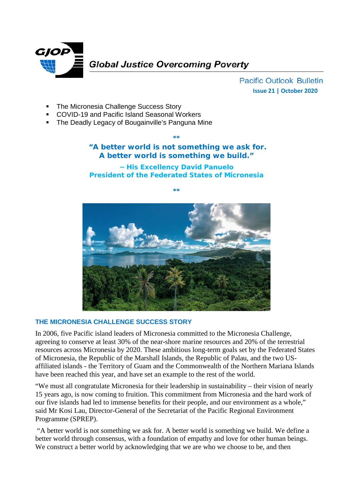

**Pacific Outlook Bulletin Issue 21 | October 2020**

- The Micronesia Challenge Success Story
- COVID-19 and Pacific Island Seasonal Workers
- The Deadly Legacy of Bougainville's Panguna Mine

**\*\***

## **"A better world is not something we ask for. A better world is something we build."**

**~ His Excellency David Panuelo President of the Federated States of Micronesia**

**\*\***

## **THE MICRONESIA CHALLENGE SUCCESS STORY**

In 2006, five Pacific island leaders of Micronesia committed to the Micronesia Challenge, agreeing to conserve at least 30% of the near-shore marine resources and 20% of the terrestrial resources across Micronesia by 2020. These ambitious long-term goals set by the Federated States of Micronesia, the Republic of the Marshall Islands, the Republic of Palau, and the two USaffiliated islands - the Territory of Guam and the Commonwealth of the Northern Mariana Islands have been reached this year, and have set an example to the rest of the world.

"We must all congratulate Micronesia for their leadership in sustainability – their vision of nearly 15 years ago, is now coming to fruition. This commitment from Micronesia and the hard work of our five islands had led to immense benefits for their people, and our environment as a whole," said Mr Kosi Lau, Director-General of the Secretariat of the Pacific Regional Environment Programme (SPREP).

"A better world is not something we ask for. A better world is something we build. We define a better world through consensus, with a foundation of empathy and love for other human beings. We construct a better world by acknowledging that we are who we choose to be, and then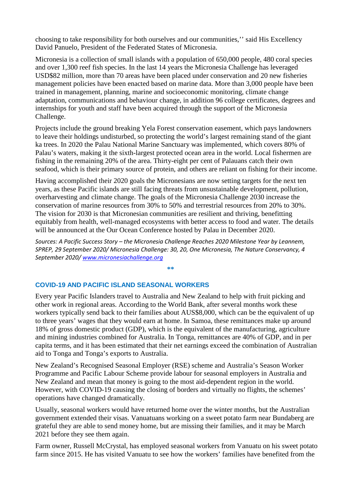choosing to take responsibility for both ourselves and our communities,'' said His Excellency David Panuelo, President of the Federated States of Micronesia.

Micronesia is a collection of small islands with a population of 650,000 people, 480 coral species and over 1,300 reef fish species. In the last 14 years the Micronesia Challenge has leveraged USD\$82 million, more than 70 areas have been placed under conservation and 20 new fisheries management policies have been enacted based on marine data. More than 3,000 people have been trained in management, planning, marine and socioeconomic monitoring, climate change adaptation, communications and behaviour change, in addition 96 college certificates, degrees and internships for youth and staff have been acquired through the support of the Micronesia Challenge.

Projects include the ground breaking Yela Forest conservation easement, which pays landowners to leave their holdings undisturbed, so protecting the world's largest remaining stand of the giant ka trees. In 2020 the Palau National Marine Sanctuary was implemented, which covers 80% of Palau's waters, making it the sixth-largest protected ocean area in the world. Local fishermen are fishing in the remaining 20% of the area. Thirty-eight per cent of Palauans catch their own seafood, which is their primary source of protein, and others are reliant on fishing for their income.

Having accomplished their 2020 goals the Micronesians are now setting targets for the next ten years, as these Pacific islands are still facing threats from unsustainable development, pollution, overharvesting and climate change. The goals of the Micronesia Challenge 2030 increase the conservation of marine resources from 30% to 50% and terrestrial resources from 20% to 30%. The vision for 2030 is that Micronesian communities are resilient and thriving, benefitting equitably from health, well-managed ecosystems with better access to food and water. The details will be announced at the Our Ocean Conference hosted by Palau in December 2020.

*Sources: A Pacific Success Story – the Micronesia Challenge Reaches 2020 Milestone Year by Leannem, SPREP, 29 September 2020/ Micronesia Challenge: 30, 20, One Micronesia, The Nature Conservancy, 4 September 2020/ [www.micronesiachallenge.org](http://www.micronesiachallenge.org/)*

**\*\***

**COVID-19 AND PACIFIC ISLAND SEASONAL WORKERS**

Every year Pacific Islanders travel to Australia and New Zealand to help with fruit picking and other work in regional areas. According to the World Bank, after several months work these workers typically send back to their families about AUS\$8,000, which can be the equivalent of up to three years' wages that they would earn at home. In Samoa, these remittances make up around 18% of gross domestic product (GDP), which is the equivalent of the manufacturing, agriculture and mining industries combined for Australia. In Tonga, remittances are 40% of GDP, and in per capita terms, and it has been estimated that their net earnings exceed the combination of Australian aid to Tonga and Tonga's exports to Australia.

New Zealand's Recognised Seasonal Employer (RSE) scheme and Australia's Season Worker Programme and Pacific Labour Scheme provide labour for seasonal employers in Australia and New Zealand and mean that money is going to the most aid-dependent region in the world. However, with COVID-19 causing the closing of borders and virtually no flights, the schemes' operations have changed dramatically.

Usually, seasonal workers would have returned home over the winter months, but the Australian government extended their visas. Vanuatuans working on a sweet potato farm near Bundaberg are grateful they are able to send money home, but are missing their families, and it may be March 2021 before they see them again.

Farm owner, Russell McCrystal, has employed seasonal workers from Vanuatu on his sweet potato farm since 2015. He has visited Vanuatu to see how the workers' families have benefited from the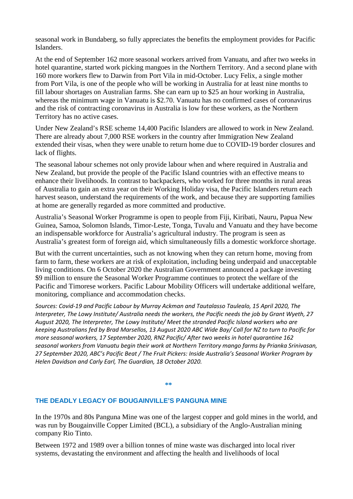seasonal work in Bundaberg, so fully appreciates the benefits the employment provides for Pacific Islanders.

At the end of September 162 more seasonal workers arrived from Vanuatu, and after two weeks in hotel quarantine, started work picking mangoes in the Northern Territory. And a second plane with 160 more workers flew to Darwin from Port Vila in mid-October. Lucy Felix, a single mother from Port Vila, is one of the people who will be working in Australia for at least nine months to fill labour shortages on Australian farms. She can earn up to \$25 an hour working in Australia, whereas the minimum wage in Vanuatu is \$2.70. Vanuatu has no confirmed cases of coronavirus and the risk of contracting coronavirus in Australia is low for these workers, as the Northern Territory has no active cases.

Under New Zealand's RSE scheme 14,400 Pacific Islanders are allowed to work in New Zealand. There are already about 7,000 RSE workers in the country after Immigration New Zealand extended their visas, when they were unable to return home due to COVID-19 border closures and lack of flights.

The seasonal labour schemes not only provide labour when and where required in Australia and New Zealand, but provide the people of the Pacific Island countries with an effective means to enhance their livelihoods. In contrast to backpackers, who worked for three months in rural areas of Australia to gain an extra year on their Working Holiday visa, the Pacific Islanders return each harvest season, understand the requirements of the work, and because they are supporting families at home are generally regarded as more committed and productive.

Australia's Seasonal Worker Programme is open to people from Fiji, Kiribati, Nauru, Papua New Guinea, Samoa, Solomon Islands, Timor-Leste, Tonga, Tuvalu and Vanuatu and they have become an indispensable workforce for Australia's agricultural industry. The program is seen as Australia's greatest form of foreign aid, which simultaneously fills a domestic workforce shortage.

But with the current uncertainties, such as not knowing when they can return home, moving from farm to farm, these workers are at risk of exploitation, including being underpaid and unacceptable living conditions. On 6 October 2020 the Australian Government announced a package investing \$9 million to ensure the Seasonal Worker Programme continues to protect the welfare of the Pacific and Timorese workers. Pacific Labour Mobility Officers will undertake additional welfare, monitoring, compliance and accommodation checks.

*Sources: Covid-19 and Pacific Labour by Murray Ackman and Tautalasso Taulealo, 15 April 2020, The Interpreter, The Lowy Institute/ Australia needs the workers, the Pacific needs the job by Grant Wyeth, 27 August 2020, The Interpreter, The Lowy Institute/ Meet the stranded Pacific Island workers who are keeping Australians fed by Brad Marsellos, 13 August 2020 ABC Wide Bay/ Call for NZ to turn to Pacific for more seasonal workers, 17 September 2020, RNZ Pacific/ After two weeks in hotel quarantine 162 seasonal workers from Vanuatu begin their work at Northern Territory mango farms by Prianka Srinivasan, 27 September 2020, ABC's Pacific Beat / The Fruit Pickers: Inside Australia's Seasonal Worker Program by Helen Davidson and Carly Earl, The Guardian, 18 October 2020.*

## **\*\***

## **THE DEADLY LEGACY OF BOUGAINVILLE'S PANGUNA MINE**

In the 1970s and 80s Panguna Mine was one of the largest copper and gold mines in the world, and was run by Bougainville Copper Limited (BCL), a subsidiary of the Anglo-Australian mining company Rio Tinto.

Between 1972 and 1989 over a billion tonnes of mine waste was discharged into local river systems, devastating the environment and affecting the health and livelihoods of local